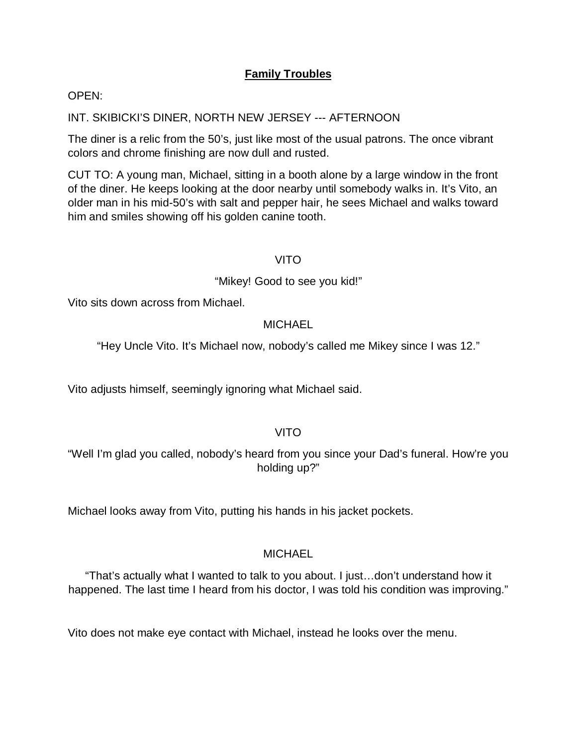# **Family Troubles**

#### OPEN:

#### INT. SKIBICKI'S DINER, NORTH NEW JERSEY --- AFTERNOON

The diner is a relic from the 50's, just like most of the usual patrons. The once vibrant colors and chrome finishing are now dull and rusted.

CUT TO: A young man, Michael, sitting in a booth alone by a large window in the front of the diner. He keeps looking at the door nearby until somebody walks in. It's Vito, an older man in his mid-50's with salt and pepper hair, he sees Michael and walks toward him and smiles showing off his golden canine tooth.

#### VITO

#### "Mikey! Good to see you kid!"

Vito sits down across from Michael.

#### **MICHAEL**

"Hey Uncle Vito. It's Michael now, nobody's called me Mikey since I was 12."

Vito adjusts himself, seemingly ignoring what Michael said.

#### VITO

"Well I'm glad you called, nobody's heard from you since your Dad's funeral. How're you holding up?"

Michael looks away from Vito, putting his hands in his jacket pockets.

#### **MICHAEL**

"That's actually what I wanted to talk to you about. I just…don't understand how it happened. The last time I heard from his doctor, I was told his condition was improving."

Vito does not make eye contact with Michael, instead he looks over the menu.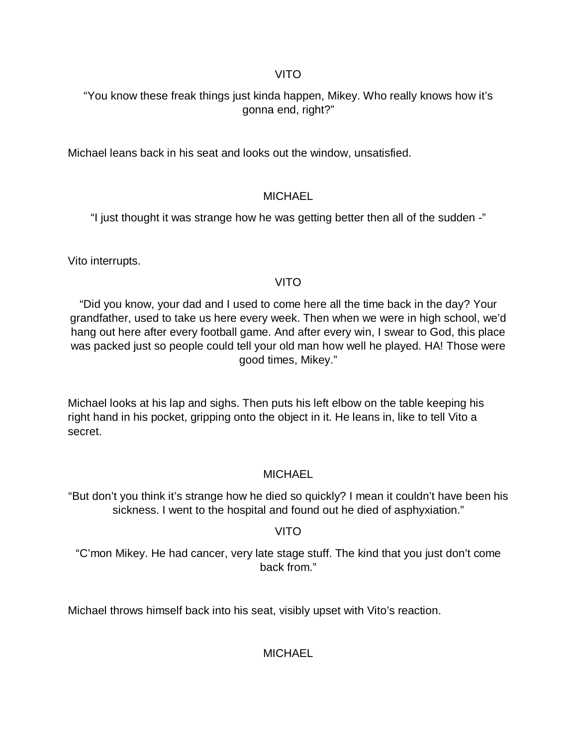### VITO

# "You know these freak things just kinda happen, Mikey. Who really knows how it's gonna end, right?"

Michael leans back in his seat and looks out the window, unsatisfied.

# **MICHAEL**

"I just thought it was strange how he was getting better then all of the sudden -"

Vito interrupts.

# VITO

"Did you know, your dad and I used to come here all the time back in the day? Your grandfather, used to take us here every week. Then when we were in high school, we'd hang out here after every football game. And after every win, I swear to God, this place was packed just so people could tell your old man how well he played. HA! Those were good times, Mikey."

Michael looks at his lap and sighs. Then puts his left elbow on the table keeping his right hand in his pocket, gripping onto the object in it. He leans in, like to tell Vito a secret.

# **MICHAEL**

"But don't you think it's strange how he died so quickly? I mean it couldn't have been his sickness. I went to the hospital and found out he died of asphyxiation."

# VITO

"C'mon Mikey. He had cancer, very late stage stuff. The kind that you just don't come back from."

Michael throws himself back into his seat, visibly upset with Vito's reaction.

**MICHAEL**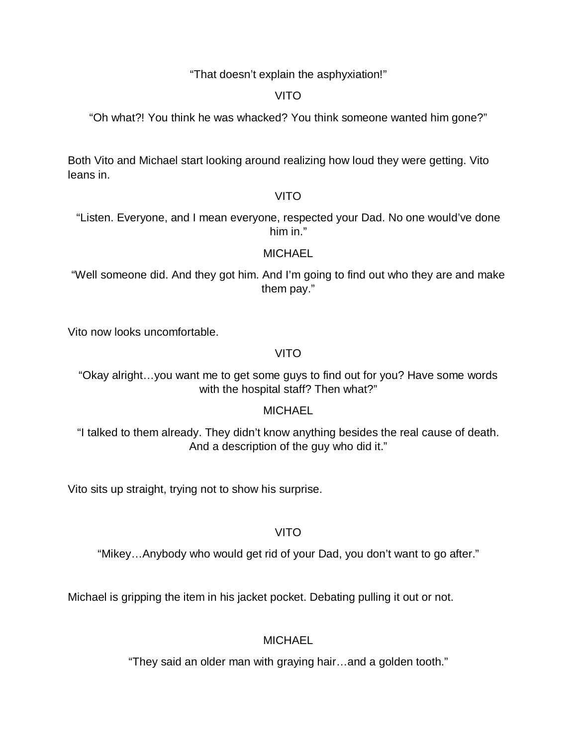"That doesn't explain the asphyxiation!"

VITO

"Oh what?! You think he was whacked? You think someone wanted him gone?"

Both Vito and Michael start looking around realizing how loud they were getting. Vito leans in.

### VITO

"Listen. Everyone, and I mean everyone, respected your Dad. No one would've done him in."

### **MICHAEL**

"Well someone did. And they got him. And I'm going to find out who they are and make them pay."

Vito now looks uncomfortable.

# VITO

"Okay alright…you want me to get some guys to find out for you? Have some words with the hospital staff? Then what?"

# **MICHAEL**

"I talked to them already. They didn't know anything besides the real cause of death. And a description of the guy who did it."

Vito sits up straight, trying not to show his surprise.

# VITO

"Mikey…Anybody who would get rid of your Dad, you don't want to go after."

Michael is gripping the item in his jacket pocket. Debating pulling it out or not.

**MICHAEL** 

"They said an older man with graying hair…and a golden tooth."